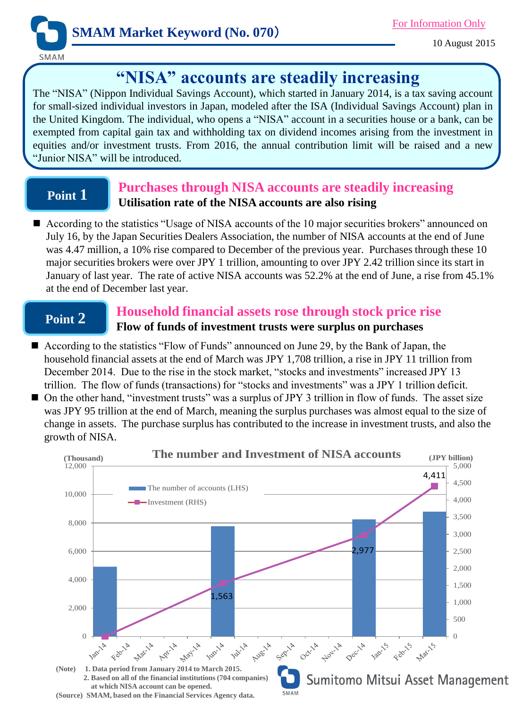

10 August 2015

# **"NISA" accounts are steadily increasing**

The "NISA" (Nippon Individual Savings Account), which started in January 2014, is a tax saving account for small-sized individual investors in Japan, modeled after the ISA (Individual Savings Account) plan in the United Kingdom. The individual, who opens a "NISA" account in a securities house or a bank, can be exempted from capital gain tax and withholding tax on dividend incomes arising from the investment in equities and/or investment trusts. From 2016, the annual contribution limit will be raised and a new "Junior NISA" will be introduced.

## **Point 1**

### **Purchases through NISA accounts are steadily increasing Utilisation rate of the NISA accounts are also rising**

■ According to the statistics "Usage of NISA accounts of the 10 major securities brokers" announced on July 16, by the Japan Securities Dealers Association, the number of NISA accounts at the end of June was 4.47 million, a 10% rise compared to December of the previous year. Purchases through these 10 major securities brokers were over JPY 1 trillion, amounting to over JPY 2.42 trillion since its start in January of last year. The rate of active NISA accounts was 52.2% at the end of June, a rise from 45.1% at the end of December last year.

## **Point 2**

### **Household financial assets rose through stock price rise Flow of funds of investment trusts were surplus on purchases**

- According to the statistics "Flow of Funds" announced on June 29, by the Bank of Japan, the household financial assets at the end of March was JPY 1,708 trillion, a rise in JPY 11 trillion from December 2014. Due to the rise in the stock market, "stocks and investments" increased JPY 13 trillion. The flow of funds (transactions) for "stocks and investments" was a JPY 1 trillion deficit.
- On the other hand, "investment trusts" was a surplus of JPY 3 trillion in flow of funds. The asset size was JPY 95 trillion at the end of March, meaning the surplus purchases was almost equal to the size of change in assets. The purchase surplus has contributed to the increase in investment trusts, and also the growth of NISA.